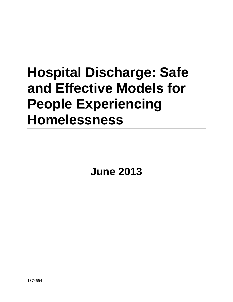# **Hospital Discharge: Safe and Effective Models for People Experiencing Homelessness**

**June 2013**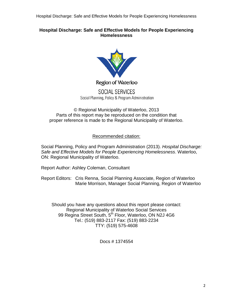Hospital Discharge: Safe and Effective Models for People Experiencing Homelessness

## **Hospital Discharge: Safe and Effective Models for People Experiencing Homelessness**



Region of Waterloo

SOCIAL SERVICES Social Planning, Policy & Program Administration

© Regional Municipality of Waterloo, 2013 Parts of this report may be reproduced on the condition that proper reference is made to the Regional Municipality of Waterloo.

## Recommended citation:

Social Planning, Policy and Program Administration (2013). *Hospital Discharge: Safe and Effective Models for People Experiencing Homelessness*. Waterloo, ON: Regional Municipality of Waterloo.

Report Author: Ashley Coleman, Consultant

Report Editors: Cris Renna, Social Planning Associate, Region of Waterloo Marie Morrison, Manager Social Planning, Region of Waterloo

Should you have any questions about this report please contact: Regional Municipality of Waterloo Social Services 99 Regina Street South, 5<sup>th</sup> Floor, Waterloo, ON N2J 4G6 Tel.: (519) 883-2117 Fax: (519) 883-2234 TTY: (519) 575-4608

Docs # 1374554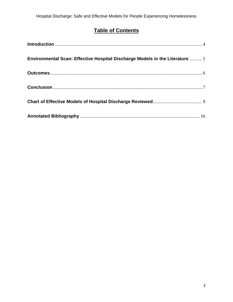# **Table of Contents**

| Environmental Scan: Effective Hospital Discharge Models in the Literature  5 |  |
|------------------------------------------------------------------------------|--|
|                                                                              |  |
|                                                                              |  |
|                                                                              |  |
|                                                                              |  |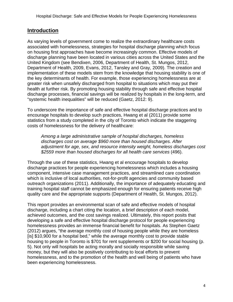## <span id="page-3-0"></span>**Introduction**

As varying levels of government come to realize the extraordinary healthcare costs associated with homelessness, strategies for hospital discharge planning which focus on housing first approaches have become increasingly common. Effective models of discharge planning have been located in various cities across the United States and the United Kingdom (see Bendixen, 2006, Department of Health, St. Mungos, 2012, Department of Health, 2009, Evans, 2012, Tansley and Gray, 2009). The creation and implementation of these models stem from the knowledge that housing stability is one of the key determinants of health. For example, those experiencing homelessness are at greater risk when unsafely discharged from hospital to situations which may put their health at further risk. By promoting housing stability through safe and effective hospital discharge processes, financial savings will be realized by hospitals in the long-term, and "systemic health inequalities" will be reduced (Gaetz, 2012: 9).

To underscore the importance of safe and effective hospital discharge practices and to encourage hospitals to develop such practices, Hwang et al (2011) provide some statistics from a study completed in the city of Toronto which indicate the staggering costs of homelessness for the delivery of healthcare:

*Among a large administrative sample of hospital discharges, homeless discharges cost on average \$960 more than housed discharges. After adjustment for age, sex, and resource intensity weight, homeless discharges cost \$2559 more than housed discharges for all health care services* (496).

Through the use of these statistics, Hwang et al encourage hospitals to develop discharge practices for people experiencing homelessness which includes a housing component, intensive case management practices, and streamlined care coordination which is inclusive of local authorities, not-for-profit agencies and community based outreach organizations (2011). Additionally, the importance of adequately educating and training hospital staff cannot be emphasized enough for ensuring patients receive high quality care and the appropriate supports (Department of Health, St. Mungos, 2012).

This report provides an environmental scan of safe and effective models of hospital discharge, including a chart citing the location, a brief description of each model, achieved outcomes, and the cost savings realized. Ultimately, this report posits that developing a safe and effective hospital discharge protocol for people experiencing homelessness provides an immense financial benefit for hospitals. As Stephen Gaetz (2012) argues, "the average monthly cost of housing people while they are homeless [is] \$10,900 for a hospital bed," while the average monthly cost to provide stable housing to people in Toronto is \$701 for rent supplements or \$200 for social housing (p. 5). Not only will hospitals be acting morally and socially responsible while saving money, but they will also be positively contributing to local efforts to prevent homelessness, and to the promotion of the health and well being of patients who have been experiencing homelessness.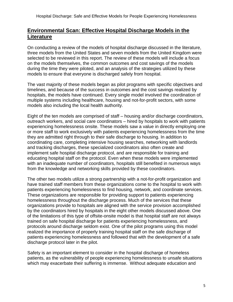## <span id="page-4-0"></span>**Environmental Scan: Effective Hospital Discharge Models in the Literature**

On conducting a review of the models of hospital discharge discussed in the literature, three models from the United States and seven models from the United Kingdom were selected to be reviewed in this report. The review of these models will include a focus on the models themselves, the common outcomes and cost savings of the models during the time they were piloted, and an analysis of the strategies utilized by these models to ensure that everyone is discharged safely from hospital.

The vast majority of these models began as pilot programs with specific objectives and timelines, and because of the success in outcomes and the cost savings realized by hospitals, the models have continued. Every single model involved the coordination of multiple systems including healthcare, housing and not-for-profit sectors, with some models also including the local health authority.

Eight of the ten models are comprised of staff – housing and/or discharge coordinators, outreach workers, and social care coordinators – hired by hospitals to work with patients experiencing homelessness onsite. These models saw a value in directly employing one or more staff to work exclusively with patients experiencing homelessness from the time they are admitted right through to their safe discharge to housing. In addition to coordinating care, completing intensive housing searches, networking with landlords and tracking discharges, these specialized coordinators also often create and implement safe hospital discharge protocol, and are responsible for training and educating hospital staff on the protocol. Even when these models were implemented with an inadequate number of coordinators, hospitals still benefited in numerous ways from the knowledge and networking skills provided by these coordinators.

The other two models utilize a strong partnership with a not-for-profit organization and have trained staff members from these organizations come to the hospital to work with patients experiencing homelessness to find housing, network, and coordinate services. These organizations are responsible for providing support to patients experiencing homelessness throughout the discharge process. Much of the services that these organizations provide to hospitals are aligned with the service provision accomplished by the coordinators hired by hospitals in the eight other models discussed above. One of the limitations of this type of offsite-onsite model is that hospital staff are not always trained on safe hospital discharge for patients experiencing homelessness, and protocols around discharge seldom exist. One of the pilot programs using this model realized the importance of properly training hospital staff on the safe discharge of patients experiencing homelessness and followed that with the development of a safe discharge protocol later in the pilot.

Safety is an important element to consider in the hospital discharge of homeless patients, as the vulnerability of people experiencing homelessness to unsafe situations which may exacerbate their suffering is immense. Without adequate education and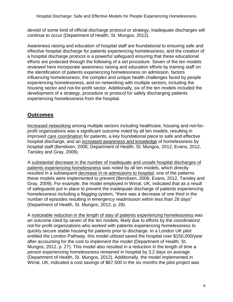devoid of some kind of official discharge protocol or strategy, inadequate discharges will continue to occur (Department of Health, St. Mungos, 2012).

Awareness raising and education of hospital staff are foundational to ensuring safe and effective hospital discharge for patients experiencing homelessness, and the creation of a hospital discharge protocol is a powerful safeguard ensuring that these educational efforts are protected through the following of a set procedure. Seven of the ten models reviewed here incorporate awareness raising and education efforts by training staff on the identification of patients experiencing homelessness on admission, factors influencing homelessness, the complex and unique health challenges faced by people experiencing homelessness, and on networking with multiple sectors, including the housing sector and not-for-profit sector. Additionally, six of the ten models included the development of a strategy, procedure or protocol for safely discharging patients experiencing homelessness from the hospital.

## <span id="page-5-0"></span>**Outcomes**

Increased networking among multiple sectors including healthcare, housing and not-forprofit organizations was a significant outcome noted by all ten models, resulting in improved care coordination for patients, a key foundational piece to safe and effective hospital discharge, and an increased awareness and knowledge of homelessness by hospital staff (Bendixen, 2006, Department of Health, St. Mungos, 2012, Evans, 2012, Tansley and Gray, 2009).

A substantial decrease in the number of inadequate and unsafe hospital discharges of patients experiencing homelessness was noted by all ten models, which directly resulted in a subsequent decrease in re-admissions to hospital, one of the patterns these models were implemented to prevent (Bendixen, 2006, Evans, 2012, Tansley and Gray, 2009). For example, the model employed in Wirral, UK, indicated that as a result of safeguards put in place to prevent the inadequate discharge of patients experiencing homelessness including a flagging system, "there was a decrease of one third in the number of episodes resulting in emergency readmission within less than 28 days" (Department of Health, St. Mungos, 2012, p. 28).

A noticeable reduction in the length of stay of patients experiencing homelessness was an outcome cited by seven of the ten models, likely due to efforts by the coordinators/ not-for-profit organizations who worked with patients experiencing homelessness to quickly secure stable housing for patients prior to discharge. In a London UK pilot entitled the London Pathway, this model utilized saved the hospital over \$150,000/year after accounting for the cost to implement the model (Department of Health, St. Mungos, 2012, p. 27). This model also resulted in a reduction in the length of time a person experiencing homelessness remained in hospital by 3.2 days on average (Department of Health, St. Mungos, 2012). Additionally, the model implemented in Wirral, UK, indicated a cost savings of \$67,500 in the six months the pilot project was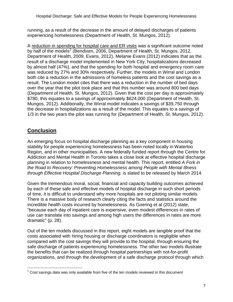running, as a result of the decrease in the amount of delayed discharges of patients experiencing homelessness (Department of Health, St. Mungos, 2012).

A reduction in spending for hospital care and ER visits was a significant outcome noted by half of the models<sup>[1](#page-6-1)</sup> (Bendixen, 2006, Department of Health, St. Mungos, 2012, Department of Health, 2009, Evans, 2012). Melanie Evans (2012) indicates that as the result of a discharge model implemented in New York City, hospitalizations decreased by almost half (47%), and that the spending for both hospital and emergency room care was reduced by 27% and 30% respectively. Further, the models in Wirral and London both cite a reduction in the admissions of homeless patients and the cost savings as a result. The London model cites that there was a reduction in the number of bed days over the year that the pilot took place and that this number was around 800 bed days (Department of Health, St. Mungos, 2012). Given that the cost per day is approximately \$780, this equates to a savings of approximately \$624,000 (Department of Health, St. Mungos, 2012). Additionally, the Wirral model indicates a savings of \$39,750 through the decrease in hospitalizations as a result of the model. This equates to a savings of 1/3 in the two years the pilot was running for (Department of Health, St. Mungos, 2012).

## <span id="page-6-0"></span>**Conclusion**

An emerging focus on hospital discharge planning as a key component in housing stability for people experiencing homelessness has been noted locally in Waterloo Region, and in other municipalities. A new federally funded report through the Centre for Addiction and Mental Health in Toronto takes a close look at effective hospital discharge planning in relation to homelessness and mental health. This report, entitled *A Fork in the Road to Recovery: Preventing Homelessness among People with Mental Illness through Effective Hospital Discharge Planning*, is slated to be released by March 2014.

Given the tremendous moral, social, financial and capacity building outcomes achieved by each of these safe and effective models of hospital discharge in such short periods of time, it is difficult to understand why more hospitals are not piloting similar models. There is a massive body of research clearly citing the facts and statistics around the incredible health costs incurred by homelessness. As Goering et al (2012) state, "because each day of inpatient care is expensive, even modest differences in rates of use can translate into savings and among high users the differences in rates are more dramatic" (p. 28).

Out of the ten models discussed in this report, eight models are tangible proof that the costs associated with hiring housing or discharge coordinators is negligible when compared with the cost savings they will provide to the hospital, through ensuring the safe discharge of patients experiencing homelessness. The other two models illustrate the benefits that can be realized through hospital partnerships with not-for-profit organizations, and through the development of a safe discharge protocol through which

<span id="page-6-1"></span> $1$  Cost savings data was only available from five of the ten models reviewed in this document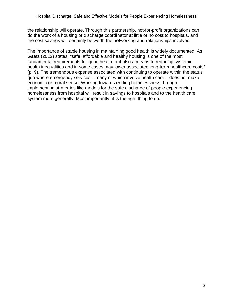the relationship will operate. Through this partnership, not-for-profit organizations can do the work of a housing or discharge coordinator at little or no cost to hospitals, and the cost savings will certainly be worth the networking and relationships involved.

The importance of stable housing in maintaining good health is widely documented. As Gaetz (2012) states, "safe, affordable and healthy housing is one of the most fundamental requirements for good health, but also a means to reducing systemic health inequalities and in some cases may lower associated long-term healthcare costs" (p. 9). The tremendous expense associated with continuing to operate within the status quo where emergency services – many of which involve health care – does not make economic or moral sense. Working towards ending homelessness through implementing strategies like models for the safe discharge of people experiencing homelessness from hospital will result in savings to hospitals and to the health care system more generally. Most importantly, it is the right thing to do.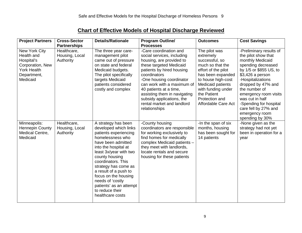| <b>Chart of Effective Models of Hospital Discharge Reviewed</b> |  |
|-----------------------------------------------------------------|--|
|-----------------------------------------------------------------|--|

<span id="page-8-0"></span>

| <b>Project Partners</b>                                                                                        | <b>Cross-Sector</b><br><b>Partnerships</b> | <b>Details/Rationale</b>                                                                                                                                                                                                                                                                                                                                                 | <b>Program Outline/</b><br><b>Processes</b>                                                                                                                                                                                                                                                                                                              | <b>Outcomes</b>                                                                                                                                                                                                                       | <b>Cost Savings</b>                                                                                                                                                                                                                                                                                                                   |
|----------------------------------------------------------------------------------------------------------------|--------------------------------------------|--------------------------------------------------------------------------------------------------------------------------------------------------------------------------------------------------------------------------------------------------------------------------------------------------------------------------------------------------------------------------|----------------------------------------------------------------------------------------------------------------------------------------------------------------------------------------------------------------------------------------------------------------------------------------------------------------------------------------------------------|---------------------------------------------------------------------------------------------------------------------------------------------------------------------------------------------------------------------------------------|---------------------------------------------------------------------------------------------------------------------------------------------------------------------------------------------------------------------------------------------------------------------------------------------------------------------------------------|
| New York City<br>Health and<br>Hospital's<br>Corporation, New<br><b>York Health</b><br>Department,<br>Medicaid | Healthcare,<br>Housing, Local<br>Authority | The three year care-<br>management pilot<br>came out of pressure<br>on state and federal<br>Medicaid budgets.<br>The pilot specifically<br>targets Medicaid<br>patients considered<br>costly and complex                                                                                                                                                                 | -Care coordination and<br>social services, including<br>housing, are provided to<br>these targeted Medicaid<br>patients by hired housing<br>coordinators<br>-One housing coordinator<br>can work with a maximum of<br>40 patients at a time,<br>assisting them in navigating<br>subsidy applications, the<br>rental market and landlord<br>relationships | The pilot was<br>extremely<br>successful, so<br>much so that the<br>effort of the pilot<br>has been expanded<br>to house high-cost<br>Medicaid patients<br>with funding under<br>the Patient<br>Protection and<br>Affordable Care Act | -Preliminary results of<br>the pilot show that<br>monthly Medicaid<br>spending decreased<br>by 1/5 or \$855 US, to<br>\$3,426 a person<br>-Hospitalizations<br>dropped by 47% and<br>the number of<br>emergency room visits<br>was cut in half<br>-Spending for hospital<br>care fell by 27% and<br>emergency room<br>spending by 30% |
| Minneapolis:<br><b>Hennepin County</b><br>Medical Centre,<br>Medicaid                                          | Healthcare,<br>Housing, Local<br>Authority | A strategy has been<br>developed which links<br>patients experiencing<br>homelessness who<br>have been admitted<br>into the hospital at<br>least 3x/year with two<br>county housing<br>coordinators. This<br>strategy has come as<br>a result of a push to<br>focus on the housing<br>needs of 'costly<br>patients' as an attempt<br>to reduce their<br>healthcare costs | -County housing<br>coordinators are responsible<br>for working exclusively to<br>find homes for medically<br>complex Medicaid patients -<br>they meet with landlords,<br>locate rentals and secure<br>housing for these patients                                                                                                                         | -In the span of six<br>months, housing<br>has been sought for<br>14 patients                                                                                                                                                          | -None given as the<br>strategy had not yet<br>been in operation for a<br>year                                                                                                                                                                                                                                                         |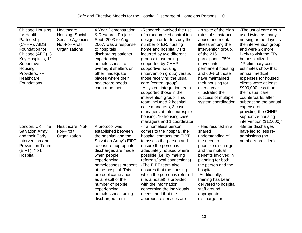| Chicago Housing        | Healthcare,       | 4 Year Demonstration  | -Research involved the use    | -In spite of the high           | -The usual care group                        |
|------------------------|-------------------|-----------------------|-------------------------------|---------------------------------|----------------------------------------------|
| for Health             | Housing, Social   | & Research Project:   | of a randomized control trial | rates of substance              | used twice as many                           |
| Partnership            | Service Agencies, | Sept. 2003 to Aug.    | design in order to study the  | abuse and mental                | nursing home days as                         |
| (CHHP), AIDS           | Not-For-Profit    | 2007, was a response  | number of ER, nursing         | illness among the               | the intervention group                       |
| Foundation for         | Organizations     | to hospitals          | home and hospital visits      | intervention group,             | and were 2x more                             |
| Chicago (AFC), 3       |                   | discharging patients  | incurred by two different     | of the 216                      | likely to visit the ER/                      |
| Key Hospitals, 11      |                   | experiencing          | groups: those being           | participants, 75%               | be hospitalized                              |
| Supportive             |                   | homelessness to       | supported by CHHP             | moved into                      | -"Preliminary cost                           |
| Housing                |                   | overnight shelters or | supportive housing            | permanent housing               | estimates show that                          |
| Providers, 7+          |                   | other inadequate      | (intervention group) versus   | and 60% of those                | annual medical                               |
| Healthcare             |                   | places where their    |                               | have maintained                 |                                              |
| <b>Foundations</b>     |                   | healthcare needs      | those receiving the usual     |                                 | expenses for housed<br>clients were at least |
|                        |                   | cannot be met         | care (control group)          | their housing for               | \$900,000 less than                          |
|                        |                   |                       | -A system integration team    | over a year<br>-Illustrated the | their usual care                             |
|                        |                   |                       | supported those in the        |                                 |                                              |
|                        |                   |                       | intervention group. This      | success of multiple             | counterparts, after                          |
|                        |                   |                       | team included 2 hospital      | system coordination             | subtracting the annual                       |
|                        |                   |                       | case managers, 3 case         |                                 | expense of                                   |
|                        |                   |                       | managers at interim/respite   |                                 | providing the CHHP                           |
|                        |                   |                       | housing, 10 housing case      |                                 | supportive housing                           |
|                        |                   |                       | managers and 1 coordinator    |                                 | intervention (\$12,000)"                     |
| London, UK: The        | Healthcare, Not-  | A protocol was        | -If a homeless person         | - Has resulted in a             | -Better discharges                           |
| <b>Salvation Army</b>  | For-Profit        | established between   | comes to the hospital, the    | shared                          | have led to less re-                         |
| and their Early        | Organization      | the hospital and the  | hospital contacts the EIPT    | understanding of                | admissions (no                               |
| Intervention and       |                   | Salvation Army's EIPT | to assess the person and      | the need to                     | numbers provided)                            |
| <b>Prevention Team</b> |                   | to ensure appropriate | ensure the person is          | prioritize discharge            |                                              |
| (EIPT), York           |                   | discharges are made   | adequately housed where       | and the mutual                  |                                              |
| Hospital               |                   | when people           | possible (i.e. by making      | benefits involved in            |                                              |
|                        |                   | experiencing          | referrals/local connections)  | planning for both               |                                              |
|                        |                   | homelessness present  | -The EIPT team also           | the person and the              |                                              |
|                        |                   | at the hospital. This | ensures that the housing      | hospital                        |                                              |
|                        |                   | protocol came about   | which the person is referred  | -Additionally,                  |                                              |
|                        |                   | as a result of the    | (i.e. a hostel) is provided   | training has been               |                                              |
|                        |                   | number of people      | with the information          | delivered to hospital           |                                              |
|                        |                   | experiencing          | concerning the individuals    | staff around                    |                                              |
|                        |                   | homelessness being    | needs, and that the           | appropriate                     |                                              |
|                        |                   | discharged from       | appropriate services are      | discharge for                   |                                              |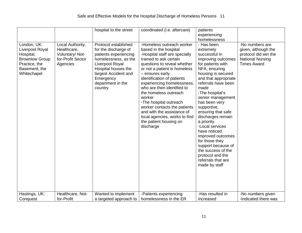|                                                                                                                       |                                                                                     | hospital to the street                                                                                                                                                                                       | coordinated (i.e. aftercare)                                                                                                                                                                                                                                                                                                                                                                                                                                                                 | patients<br>experiencing<br>homelessness                                                                                                                                                                                                                                                                                                                                                                                                                                                             |                                                                                                                 |
|-----------------------------------------------------------------------------------------------------------------------|-------------------------------------------------------------------------------------|--------------------------------------------------------------------------------------------------------------------------------------------------------------------------------------------------------------|----------------------------------------------------------------------------------------------------------------------------------------------------------------------------------------------------------------------------------------------------------------------------------------------------------------------------------------------------------------------------------------------------------------------------------------------------------------------------------------------|------------------------------------------------------------------------------------------------------------------------------------------------------------------------------------------------------------------------------------------------------------------------------------------------------------------------------------------------------------------------------------------------------------------------------------------------------------------------------------------------------|-----------------------------------------------------------------------------------------------------------------|
| London, UK:<br>Liverpool Royal<br>Hospital,<br><b>Brownlow Group</b><br>Practice, the<br>Basement, the<br>Whitechapel | Local Authority,<br>Healthcare,<br>Voluntary/ Not-<br>for-Profit Sector<br>Agencies | Protocol established<br>for the discharge of<br>patients experiencing<br>homelessness, as the<br>Liverpool Royal<br>Hospital houses the<br>largest Accident and<br>Emergency<br>department in the<br>country | -Homeless outreach worker<br>based in the hospital<br>-Hospital staff are specially<br>trained to ask certain<br>questions to reveal whether<br>or not a patient is homeless<br>- ensures early<br>identification of patients<br>experiencing homelessness,<br>who are then identified to<br>the homeless outreach<br>worker<br>-The hospital outreach<br>worker contacts the patients<br>and with the assistance of<br>local agencies, works to find<br>the patient housing on<br>discharge | - Has been<br>extremely<br>successful in<br>improving outcomes<br>for patients with<br>NFA, ensuring<br>housing is secured<br>and that appropriate<br>referrals have been<br>made<br>-The hospital's<br>senior management<br>has been very<br>supportive,<br>ensuring that safe<br>discharges remain<br>a priority.<br>-Local services<br>have noticed<br>improved outcomes<br>for those they<br>support because of<br>the success of the<br>protocol and the<br>referrals that are<br>made by staff | -No numbers are<br>given, although the<br>protocol did win the<br><b>National Nursing</b><br><b>Times Award</b> |
| Hastings, UK:<br>Conquest                                                                                             | Healthcare, Not-<br>for-Profit                                                      | Wanted to implement<br>a targeted approach to                                                                                                                                                                | -Patients experiencing<br>homelessness in the ER                                                                                                                                                                                                                                                                                                                                                                                                                                             | -Has resulted in<br>increased                                                                                                                                                                                                                                                                                                                                                                                                                                                                        | -No numbers given<br>-Indicated there was                                                                       |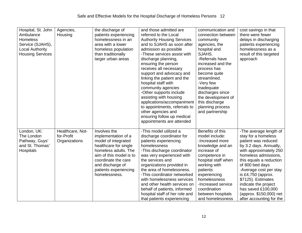| Hospital, St. John<br>Ambulance<br>Homeless<br>Service (SJAHS),<br><b>Local Authority</b><br><b>Housing Services</b> | Agencies,<br>Housing                            | the discharge of<br>patients experiencing<br>homelessness in an<br>area with a lower<br>homeless population<br>than traditionally<br>larger urban areas                                                                     | and those admitted are<br>referred to the Local<br><b>Authority Housing Services</b><br>and to SJAHS as soon after<br>admission as possible<br>-These services assist with<br>discharge planning,<br>ensuring the person<br>receives all necessary<br>support and advocacy and<br>linking the patient and the<br>hospital staff with<br>community agencies<br>-Other supports include<br>assisting with housing<br>applications/accompaniment<br>to appointments, referrals to<br>other agencies and<br>ensuring follow up medical | communication and<br>connection between<br>community<br>agencies, the<br>hospital and<br>SJAHS.<br>-Referrals have<br>increased and the<br>process has<br>become quite<br>streamlined.<br>-Very few<br>inadequate<br>discharges since<br>the development of<br>this discharge<br>planning process<br>and partnership | cost savings in that<br>there were fewer<br>delays in discharging<br>patients experiencing<br>homelessness as a<br>result of this targeted<br>approach                                                                                                                                                                                                                    |
|----------------------------------------------------------------------------------------------------------------------|-------------------------------------------------|-----------------------------------------------------------------------------------------------------------------------------------------------------------------------------------------------------------------------------|------------------------------------------------------------------------------------------------------------------------------------------------------------------------------------------------------------------------------------------------------------------------------------------------------------------------------------------------------------------------------------------------------------------------------------------------------------------------------------------------------------------------------------|----------------------------------------------------------------------------------------------------------------------------------------------------------------------------------------------------------------------------------------------------------------------------------------------------------------------|---------------------------------------------------------------------------------------------------------------------------------------------------------------------------------------------------------------------------------------------------------------------------------------------------------------------------------------------------------------------------|
| London, UK:<br>The London<br>Pathway, Guys'<br>and St. Thomas'<br>Hospitals                                          | Healthcare, Not-<br>for-Profit<br>Organizations | Involves the<br>implementation of a<br>model of integrated<br>healthcare for single<br>homeless adults. The<br>aim of this model is to<br>coordinate the care<br>and discharge of<br>patients experiencing<br>homelessness. | appointments are attended<br>-This model utilized a<br>discharge coordinator for<br>patients experiencing<br>homelessness<br>-This discharge coordinator<br>was very experienced with<br>the services and<br>organizations provided in<br>the area of homelessness.<br>-This coordinator networked<br>with homelessness services<br>and other health services on<br>behalf of patients, informed<br>hospital staff of her role and<br>that patients experiencing                                                                   | Benefits of this<br>model include:<br>-Increased more<br>knowledge and an<br>increase of<br>competence in<br>hospital staff when<br>working with<br>patients<br>experiencing<br>homelessness<br>-Increased service<br>coordination<br>between hospitals<br>and homelessness                                          | -The average length of<br>stay for a homeless<br>patient was reduced<br>by 3.2 days. Annually,<br>with approximately 250<br>homeless admissions,<br>this equals a reduction<br>of 800 bed days<br>-Average cost per stay<br>is £4,750 (approx.<br>\$7125). Estimates<br>indicate the project<br>has saved £100,000<br>(approx. \$150,000) net<br>after accounting for the |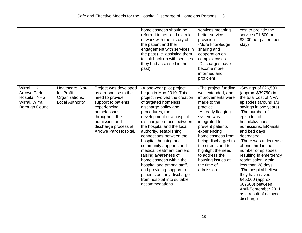|                                                                                                |                                                                            |                                                                                                                                                                                                             | homelessness should be<br>referred to her, and did a lot<br>of work with the history of<br>the patient and their<br>engagement with services in<br>the past (i.e. assisting them<br>to link back up with services<br>they had accessed in the<br>past).                                                                                                                                                                                                                                                                                                                             | services meaning<br>better service<br>provision<br>-More knowledge<br>sharing and<br>cooperation on<br>complex cases<br>-Discharges have<br>become more<br>informed and<br>proficient                                                                                                                                                          | cost to provide the<br>service (£1,600 or<br>\$2400 per patient per<br>stay)                                                                                                                                                                                                                                                                                                                                                                                                                                                     |
|------------------------------------------------------------------------------------------------|----------------------------------------------------------------------------|-------------------------------------------------------------------------------------------------------------------------------------------------------------------------------------------------------------|-------------------------------------------------------------------------------------------------------------------------------------------------------------------------------------------------------------------------------------------------------------------------------------------------------------------------------------------------------------------------------------------------------------------------------------------------------------------------------------------------------------------------------------------------------------------------------------|------------------------------------------------------------------------------------------------------------------------------------------------------------------------------------------------------------------------------------------------------------------------------------------------------------------------------------------------|----------------------------------------------------------------------------------------------------------------------------------------------------------------------------------------------------------------------------------------------------------------------------------------------------------------------------------------------------------------------------------------------------------------------------------------------------------------------------------------------------------------------------------|
| Wirral, UK:<br><b>Arrowe Park</b><br>Hospital, NHS<br>Wirral, Wirral<br><b>Borough Council</b> | Healthcare, Not-<br>for-Profit<br>Organizations,<br><b>Local Authority</b> | Project was developed<br>as a response to the<br>need to provide<br>support to patients<br>experiencing<br>homelessness<br>throughout the<br>admission and<br>discharge process at<br>Arrowe Park Hospital. | -A one-year pilot project<br>began in May 2010. This<br>project involved the creation<br>of targeted homeless<br>discharge policy and<br>procedures, the<br>development of a hospital<br>discharge protocol between<br>the hospital and the local<br>authority, establishing<br>connections between the<br>hospital, housing and<br>community supports and<br>medical treatment centers,<br>raising awareness of<br>homelessness within the<br>hospital and among staff,<br>and providing support to<br>patients as they discharge<br>from hospital into suitable<br>accommodations | -The project funding<br>was extended, and<br>improvements were<br>made to the<br>practice.<br>-An early flagging<br>system was<br>integrated to<br>prevent patients<br>experiencing<br>homelessness from<br>being discharged to<br>the streets and to<br>highlight the need<br>to address the<br>housing issues at<br>the time of<br>admission | -Savings of £26,500<br>(approx. \$39750) in<br>the total cost of NFA<br>episodes (around 1/3<br>savings in two years)<br>-The number of<br>episodes of<br>hospitalizations,<br>admissions, ER visits<br>and bed days<br>decreased<br>-There was a decrease<br>of one third in the<br>number of episodes<br>resulting in emergency<br>readmission within<br>less than 28 days<br>-The hospital believes<br>they have saved<br>£45,000 (approx.<br>\$67500) between<br>April-September 2011<br>as a result of delayed<br>discharge |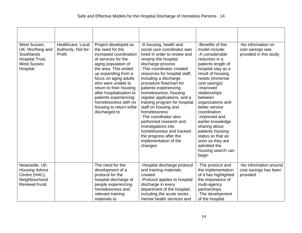| West Sussex,<br>UK: Worthing and<br>Southlands<br>Hospital Trust,<br><b>West Sussex</b><br>Hospital | Healthcare, Local<br>Authority, Not-for-<br>Profit | Project developed as<br>the need for the<br>increased coordination<br>of services for the<br>aging population of<br>the area. This ended<br>up expanding from a<br>focus on aging adults<br>who were unable to<br>return to their housing<br>after hospitalization to<br>patients experiencing<br>homelessness with no | -A housing, health and<br>social care coordinator was<br>hired in order to review and<br>revamp the hospital<br>discharge process<br>-This coordinator created<br>resources for hospital staff,<br>including a discharge<br>procedure flowchart for<br>patients experiencing<br>homelessness, housing<br>register applications, and a<br>training program for hospital | -Benefits of this<br>model include:<br>-A considerable<br>reduction in a<br>patients length of<br>hospital stay as a<br>result of housing<br>needs (immense<br>cost savings)<br>-Improved<br>relationships<br>between<br>organizations and | -No information on<br>cost savings was<br>provided in this study |
|-----------------------------------------------------------------------------------------------------|----------------------------------------------------|------------------------------------------------------------------------------------------------------------------------------------------------------------------------------------------------------------------------------------------------------------------------------------------------------------------------|------------------------------------------------------------------------------------------------------------------------------------------------------------------------------------------------------------------------------------------------------------------------------------------------------------------------------------------------------------------------|--------------------------------------------------------------------------------------------------------------------------------------------------------------------------------------------------------------------------------------------|------------------------------------------------------------------|
|                                                                                                     |                                                    | housing to return to/be<br>discharged to                                                                                                                                                                                                                                                                               | staff on housing and<br>homelessness<br>-The coordinator also<br>performed research and<br>investigations into<br>homelessness and tracked<br>the progress after the<br>implementation of the<br>changes                                                                                                                                                               | better service<br>coordination<br>-Improved and<br>earlier knowledge<br>sharing about<br>patients housing<br>status so that as<br>soon as they are<br>admitted the<br>housing search can<br>begin                                          |                                                                  |
| Newcastle, UK:<br><b>Housing Advice</b><br>Centre (HAC),<br>Neighbourhood<br>Renewal Fund,          |                                                    | The need for the<br>development of a<br>protocol for the<br>hospital discharge of<br>people experiencing<br>homelessness and<br>relevant training<br>materials to                                                                                                                                                      | -Hospital discharge protocol<br>and training materials<br>created<br>-Protocol applies to hospital<br>discharge in every<br>department of the hospital,<br>including the acute sector,<br>mental health services and                                                                                                                                                   | -The protocol and<br>the implementation<br>of it has highlighted<br>the importance of<br>multi-agency<br>partnerships<br>-The development<br>of the hospital                                                                               | -No information around<br>cost savings has been<br>provided      |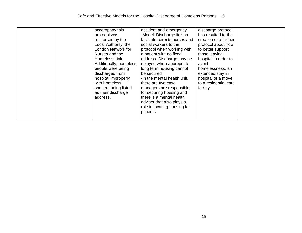| accompany this<br>protocol was<br>reinforced by the<br>Local Authority, the<br>London Network for<br>Nurses and the<br>Homeless Link.<br>Additionally, homeless<br>people were being<br>discharged from<br>hospital improperly<br>with homeless<br>shelters being listed<br>as their discharge<br>address. | accident and emergency<br>-Model: Discharge liaison<br>facilitator directs nurses and<br>social workers to the<br>protocol when working with<br>a patient with no fixed<br>address. Discharge may be<br>delayed when appropriate<br>long term housing cannot<br>be secured<br>-In the mental health unit,<br>there are two case<br>managers are responsible<br>for securing housing and<br>there is a mental health<br>adviser that also plays a<br>role in locating housing for<br>patients | discharge protocol<br>has resulted to the<br>creation of a further<br>protocol about how<br>to better support<br>those leaving<br>hospital in order to<br>avoid<br>homelessness, an<br>extended stay in<br>hospital or a move<br>to a residential care<br>facility |  |
|------------------------------------------------------------------------------------------------------------------------------------------------------------------------------------------------------------------------------------------------------------------------------------------------------------|----------------------------------------------------------------------------------------------------------------------------------------------------------------------------------------------------------------------------------------------------------------------------------------------------------------------------------------------------------------------------------------------------------------------------------------------------------------------------------------------|--------------------------------------------------------------------------------------------------------------------------------------------------------------------------------------------------------------------------------------------------------------------|--|
|------------------------------------------------------------------------------------------------------------------------------------------------------------------------------------------------------------------------------------------------------------------------------------------------------------|----------------------------------------------------------------------------------------------------------------------------------------------------------------------------------------------------------------------------------------------------------------------------------------------------------------------------------------------------------------------------------------------------------------------------------------------------------------------------------------------|--------------------------------------------------------------------------------------------------------------------------------------------------------------------------------------------------------------------------------------------------------------------|--|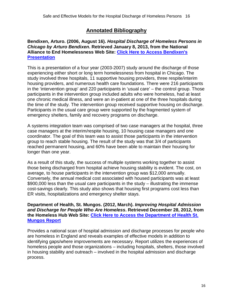## **Annotated Bibliography**

## <span id="page-15-0"></span>**Bendixen, Arturo. (2006, August 16).** *Hospital Discharge of Homeless Persons in Chicago by Arturo Bendixen***. Retrieved January 8, 2013, from the National Alliance to End Homelessness Web Site: [Click Here to Access Bendixen's](http://www.endhomelessness.org/library/entry/hospital-discharge-of-homeless-persons-in-chicago-by-arturo-bendixen)  [Presentation](http://www.endhomelessness.org/library/entry/hospital-discharge-of-homeless-persons-in-chicago-by-arturo-bendixen)**

This is a presentation of a four year (2003-2007) study around the discharge of those experiencing either short or long term homelessness from hospital in Chicago. The study involved three hospitals, 11 supportive housing providers, three respite/interim housing providers, and numerous health care foundations. There were 216 participants in the 'intervention group' and 220 participants in 'usual care' – the control group. Those participants in the intervention group included adults who were homeless, had at least one chronic medical illness, and were an in-patient at one of the three hospitals during the time of the study. The intervention group received supportive housing on discharge. Participants in the usual care group were supported by the fragmented system of emergency shelters, family and recovery programs on discharge.

A systems integration team was comprised of two case managers at the hospital, three case managers at the interim/respite housing, 10 housing case managers and one coordinator. The goal of this team was to assist those participants in the intervention group to reach stable housing. The result of the study was that 3/4 of participants reached permanent housing, and 60% have been able to maintain their housing for longer than one year.

As a result of this study, the success of multiple systems working together to assist those being discharged from hospital achieve housing stability is evident. The cost, on average, to house participants in the intervention group was \$12,000 annually. Conversely, the annual medical cost associated with housed participants was at least \$900,000 less than the usual care participants in the study – illustrating the immense cost-savings clearly. This study also shows that housing first programs cost less than ER visits, hospitalizations and emergency shelter stays.

**Department of Health, St. Mungos. (2012, March).** *Improving Hospital Admission and Discharge for People Who Are Homeless***. Retrieved December 28, 2012, from the Homeless Hub Web Site: [Click Here to Access the Department of Health St.](http://www.homelesshub.ca/Library/Hospital-Discharge-of-Homeless-People-54797.aspx)  [Mungos Report](http://www.homelesshub.ca/Library/Hospital-Discharge-of-Homeless-People-54797.aspx)**

Provides a national scan of hospital admission and discharge processes for people who are homeless in England and reveals examples of effective models in addition to identifying gaps/where improvements are necessary. Report utilizes the experiences of homeless people and those organizations – including hospitals, shelters, those involved in housing stability and outreach – involved in the hospital admission and discharge process.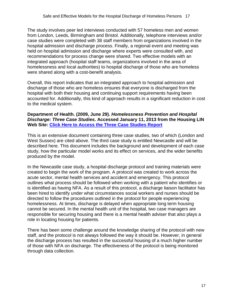The study involves peer led interviews conducted with 57 homeless men and women from London, Leeds, Birmingham and Bristol. Additionally, telephone interviews and/or case studies were completed with 38 staff members from organizations involved in the hospital admission and discharge process. Finally, a regional event and meeting was held on hospital admission and discharge where experts were consulted with, and recommendations for process change were shared. Two effective models with an integrated approach (hospital staff teams, organizations involved in the area of homelessness and local authorities) to hospital discharge of those who are homeless were shared along with a cost-benefit analysis.

Overall, this report indicates that an integrated approach to hospital admission and discharge of those who are homeless ensures that everyone is discharged from the hospital with both their housing and continuing support requirements having been accounted for. Additionally, this kind of approach results in a significant reduction in cost to the medical system.

#### **Department of Health. (2009, June 29).** *Homelessness Prevention and Hospital Discharge: Three Case Studies***. Accessed January 11, 2013 from the Housing LIN Web Site: [Click Here to Access the Three Case Studies Report](http://www.housinglin.org.uk/_library/Resources/Housing/Practice_examples%20%20/Housing_LIN_case_studies/Case_Study_46.pdf)**

This is an extensive document containing three case studies, two of which (London and West Sussex) are cited above. The third case study is entitled Newcastle and will be described here. This document includes the background and development of each case study, how the particular model works and its effect on services, and the wider benefits produced by the model.

In the Newcastle case study, a hospital discharge protocol and training materials were created to begin the work of the program. A protocol was created to work across the acute sector, mental health services and accident and emergency. This protocol outlines what process should be followed when working with a patient who identifies or is identified as having NFA. As a result of this protocol, a discharge liaison facilitator has been hired to identify under what circumstances social workers and nurses should be directed to follow the procedures outlined in the protocol for people experiencing homelessness. At times, discharge is delayed when appropriate long term housing cannot be secured. In the mental health unit of the hospital, two case managers are responsible for securing housing and there is a mental health adviser that also plays a role in locating housing for patients.

There has been some challenge around the knowledge sharing of the protocol with new staff, and the protocol is not always followed the way it should be. However, in general the discharge process has resulted in the successful housing of a much higher number of those with NFA on discharge. The effectiveness of the protocol is being monitored through data collection.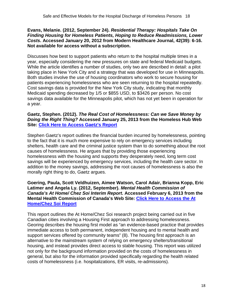#### **Evans, Melanie. (2012, September 24).** *Residential Therapy: Hospitals Take On Finding Housing for Homeless Patients, Hoping to Reduce Readmissions, Lower Costs***. Accessed January 20, 2012 from Modern Healthcare Journal, 42(39): 6-16. Not available for access without a subscription.**

Discusses how best to support patients who return to the hospital multiple times in a year, especially considering the new pressures on state and federal Medicaid budgets. While the article identifies a number of studies, only two are described in detail: a pilot taking place in New York City and a strategy that was developed for use in Minneapolis. Both studies involve the use of housing coordinators who work to secure housing for patients experiencing homelessness who are seen returning to the hospital repeatedly. Cost savings data is provided for the New York City study, indicating that monthly Medicaid spending decreased by 1/5 or \$855 USD, to \$3426 per person. No cost savings data available for the Minneapolis pilot, which has not yet been in operation for a year.

#### **Gaetz, Stephen. (2012).** *The Real Cost of Homelessness: Can we Save Money by Doing the Right Thing?* **Accessed January 25, 2013 from the Homeless Hub Web Site: [Click Here to Access Gaetz's Report](http://www.homelesshub.ca/Library/View.aspx?id=55023)**

Stephen Gaetz's report outlines the financial burden incurred by homelessness, pointing to the fact that it is much more expensive to rely on emergency services including shelters, health care and the criminal justice system than to do something about the root causes of homelessness. He argues that by providing those experiencing homelessness with the housing and supports they desperately need, long term cost savings will be experienced by emergency services, including the health care sector. In addition to the money savings, addressing the root causes of homelessness is also the morally right thing to do, Gaetz argues.

#### **Goering, Paula, Scott Veldhuizen, Aimee Watson, Carol Adair, Brianna Kopp, Eric Latimer and Angela Ly. (2012, September).** *Mental Health Commission of Canada's At Home/ Chez Soi Interim Report***. Accessed February 6, 2013 from the Mental Health Commission of Canada's Web Site: Click Here to [Access the At](http://www.mentalhealthcommission.ca/SiteCollectionDocuments/AtHome-ChezSoi/AtHome_InterimReport_ENG.pdf)  [Home/Chez Soi Report](http://www.mentalhealthcommission.ca/SiteCollectionDocuments/AtHome-ChezSoi/AtHome_InterimReport_ENG.pdf)**

This report outlines the At Home/Chez Soi research project being carried out in five Canadian cities involving a Housing First approach to addressing homelessness. Georing describes the housing first model as "an evidence-based practice that provides immediate access to both permanent, independent housing and to mental health and support services offered by community teams" (8). The housing first approach is an alternative to the mainstream system of relying on emergency shelters/transitional housing, and instead provides direct access to stable housing. This report was utilized not only for the background information provided on the costs of homelessness in general, but also for the information provided specifically regarding the health related costs of homelessness (i.e. hospitalizations, ER visits, re-admissions).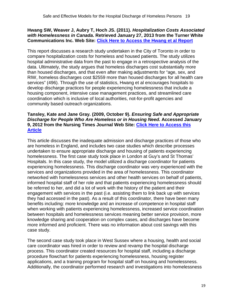## **Hwang SW, Weaver J, Aubry T, Hoch JS. (2011).** *Hospitalization Costs Associated with Homelessness in Canada***. Retrieved January 27, 2013 from the Turner White Communications Inc. Web Site: [Click Here to Access the Hwang et al Report](http://www.turner-white.com/memberfile.php?%20PubCode=jcom_nov11_homelessness.pdf)**

This report discusses a research study undertaken in the City of Toronto in order to compare hospitalization costs for homeless and housed patients. The study utilizes hospital administrative data from the past to engage in a retrospective analysis of the data. Ultimately, the study argues that homeless discharges cost substantially more than housed discharges, and that even after making adjustments for "age, sex, and RIW, homeless discharges cost \$2559 more than housed discharges for all health care services" (496). Through the use of statistics, Hwang et al encourages hospitals to develop discharge practices for people experiencing homelessness that include a housing component, intensive case management practices, and streamlined care coordination which is inclusive of local authorities, not-for-profit agencies and community based outreach organizations.

## **Tansley, Kate and Jane Gray. (2009, October 9).** *Ensuring Safe and Appropriate Discharge for People Who Are Homeless or in Housing Need.* **Accessed January 9, 2012 from the Nursing Times Journal Web Site: [Click Here to Access this](http://www.nursingtimes.net/ensuring-safe-and-appropriate-discharge-for-people-who-are-homeless-or-in-housing-need/5007225.article)  [Article](http://www.nursingtimes.net/ensuring-safe-and-appropriate-discharge-for-people-who-are-homeless-or-in-housing-need/5007225.article)**

This article discusses the inadequate admission and discharge practices of those who are homeless in England, and includes two case studies which describe processes undertaken to ensure appropriate discharge and housing of patients experiencing homelessness. The first case study took place in London at Guy's and St Thomas' Hospitals. In this case study, the model utilized a discharge coordinator for patients experiencing homelessness. This discharge coordinator was very experienced with the services and organizations provided in the area of homelessness. This coordinator networked with homelessness services and other health services on behalf of patients, informed hospital staff of her role and that patients experiencing homelessness should be referred to her, and did a lot of work with the history of the patient and their engagement with services in the past (i.e. assisting them to link back up with services they had accessed in the past). As a result of this coordinator, there have been many benefits including: more knowledge and an increase of competence in hospital staff when working with patients experiencing homelessness, increased service coordination between hospitals and homelessness services meaning better service provision, more knowledge sharing and cooperation on complex cases, and discharges have become more informed and proficient. There was no information about cost savings with this case study.

The second case study took place in West Sussex where a housing, health and social care coordinator was hired in order to review and revamp the hospital discharge process. This coordinator created resources for hospital staff, including a discharge procedure flowchart for patients experiencing homelessness, housing register applications, and a training program for hospital staff on housing and homelessness. Additionally, the coordinator performed research and investigations into homelessness